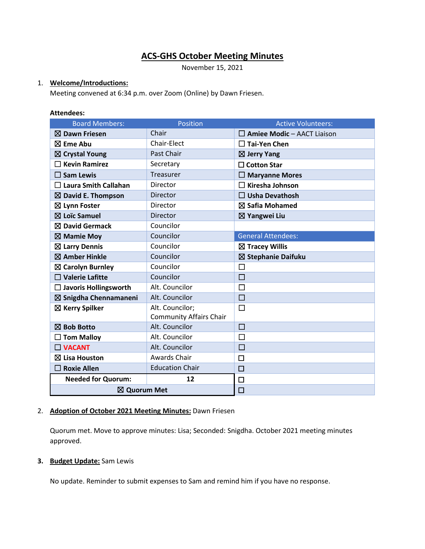# **ACS-GHS October Meeting Minutes**

November 15, 2021

# 1. **Welcome/Introductions:**

Meeting convened at 6:34 p.m. over Zoom (Online) by Dawn Friesen.

### **Attendees:**

| <b>Board Members:</b>         | Position                       | <b>Active Volunteers:</b>         |
|-------------------------------|--------------------------------|-----------------------------------|
| $\boxtimes$ Dawn Friesen      | Chair                          | $\Box$ Amiee Modic - AACT Liaison |
| $\boxtimes$ Eme Abu           | Chair-Elect                    | $\sqsupset$ Tai-Yen Chen          |
| $\boxtimes$ Crystal Young     | Past Chair                     | $\boxtimes$ Jerry Yang            |
| <b>Kevin Ramirez</b>          | Secretary                      | $\Box$ Cotton Star                |
| $\square$ Sam Lewis           | Treasurer                      | $\Box$ Maryanne Mores             |
| $\Box$ Laura Smith Callahan   | Director                       | <b>Kiresha Johnson</b>            |
| $\boxtimes$ David E. Thompson | <b>Director</b>                | $\Box$ Usha Devathosh             |
| $\boxtimes$ Lynn Foster       | Director                       | $\boxtimes$ Safia Mohamed         |
| $\boxtimes$ Loïc Samuel       | <b>Director</b>                | $\boxtimes$ Yangwei Liu           |
| $\boxtimes$ David Germack     | Councilor                      |                                   |
| $\boxtimes$ Mamie Moy         | Councilor                      | <b>General Attendees:</b>         |
| $\boxtimes$ Larry Dennis      | Councilor                      | $\boxtimes$ Tracey Willis         |
| ⊠ Amber Hinkle                | Councilor                      | ⊠ Stephanie Daifuku               |
| ⊠ Carolyn Burnley             | Councilor                      | □                                 |
| $\square$ Valerie Lafitte     | Councilor                      | $\Box$                            |
| $\Box$ Javoris Hollingsworth  | Alt. Councilor                 | □                                 |
| ⊠ Snigdha Chennamaneni        | Alt. Councilor                 | $\Box$                            |
| $\boxtimes$ Kerry Spilker     | Alt. Councilor;                | $\Box$                            |
|                               | <b>Community Affairs Chair</b> |                                   |
| $\boxtimes$ Bob Botto         | Alt. Councilor                 | $\Box$                            |
| $\Box$ Tom Malloy             | Alt. Councilor                 | $\Box$                            |
| $\Box$ VACANT                 | Alt. Councilor                 | $\Box$                            |
| $\boxtimes$ Lisa Houston      | <b>Awards Chair</b>            | $\Box$                            |
| $\square$ Roxie Allen         | <b>Education Chair</b>         | П                                 |
| <b>Needed for Quorum:</b>     | 12                             | 囗                                 |
| ⊠ Quorum Met                  |                                | $\Box$                            |

# 2. **Adoption of October 2021 Meeting Minutes:** Dawn Friesen

Quorum met. Move to approve minutes: Lisa; Seconded: Snigdha. October 2021 meeting minutes approved.

# **3. Budget Update:** Sam Lewis

No update. Reminder to submit expenses to Sam and remind him if you have no response.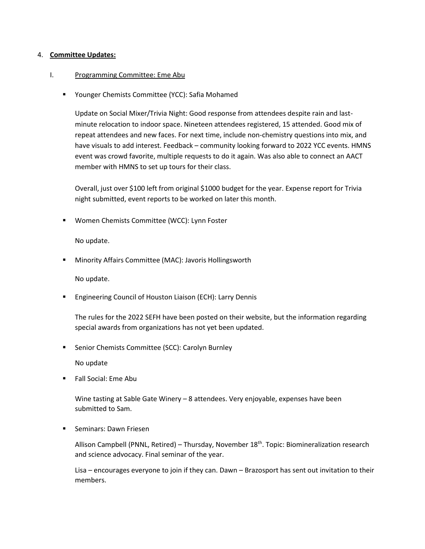### 4. **Committee Updates:**

### I. Programming Committee: Eme Abu

■ Younger Chemists Committee (YCC): Safia Mohamed

Update on Social Mixer/Trivia Night: Good response from attendees despite rain and lastminute relocation to indoor space. Nineteen attendees registered, 15 attended. Good mix of repeat attendees and new faces. For next time, include non-chemistry questions into mix, and have visuals to add interest. Feedback – community looking forward to 2022 YCC events. HMNS event was crowd favorite, multiple requests to do it again. Was also able to connect an AACT member with HMNS to set up tours for their class.

Overall, just over \$100 left from original \$1000 budget for the year. Expense report for Trivia night submitted, event reports to be worked on later this month.

▪ Women Chemists Committee (WCC): Lynn Foster

No update.

Minority Affairs Committee (MAC): Javoris Hollingsworth

No update.

**Engineering Council of Houston Liaison (ECH): Larry Dennis** 

The rules for the 2022 SEFH have been posted on their website, but the information regarding special awards from organizations has not yet been updated.

■ Senior Chemists Committee (SCC): Carolyn Burnley

No update

■ Fall Social: Eme Abu

Wine tasting at Sable Gate Winery – 8 attendees. Very enjoyable, expenses have been submitted to Sam.

■ Seminars: Dawn Friesen

Allison Campbell (PNNL, Retired) – Thursday, November 18<sup>th</sup>. Topic: Biomineralization research and science advocacy. Final seminar of the year.

Lisa – encourages everyone to join if they can. Dawn – Brazosport has sent out invitation to their members.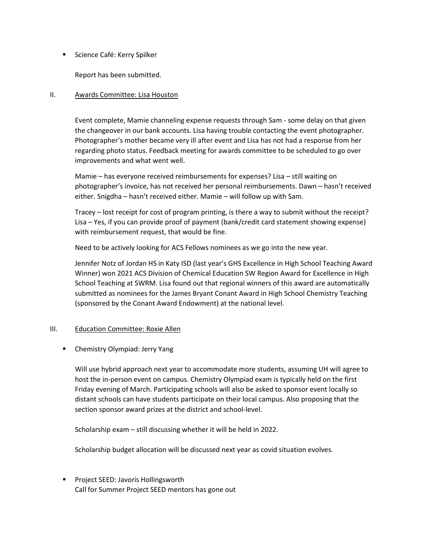■ Science Café: Kerry Spilker

Report has been submitted.

# II. Awards Committee: Lisa Houston

Event complete, Mamie channeling expense requests through Sam - some delay on that given the changeover in our bank accounts. Lisa having trouble contacting the event photographer. Photographer's mother became very ill after event and Lisa has not had a response from her regarding photo status. Feedback meeting for awards committee to be scheduled to go over improvements and what went well.

Mamie – has everyone received reimbursements for expenses? Lisa – still waiting on photographer's invoice, has not received her personal reimbursements. Dawn – hasn't received either. Snigdha – hasn't received either. Mamie – will follow up with Sam.

Tracey – lost receipt for cost of program printing, is there a way to submit without the receipt? Lisa – Yes, if you can provide proof of payment (bank/credit card statement showing expense) with reimbursement request, that would be fine.

Need to be actively looking for ACS Fellows nominees as we go into the new year.

Jennifer Notz of Jordan HS in Katy ISD (last year's GHS Excellence in High School Teaching Award Winner) won 2021 ACS Division of Chemical Education SW Region Award for Excellence in High School Teaching at SWRM. Lisa found out that regional winners of this award are automatically submitted as nominees for the James Bryant Conant Award in High School Chemistry Teaching (sponsored by the Conant Award Endowment) at the national level.

# III. Education Committee: Roxie Allen

■ Chemistry Olympiad: Jerry Yang

Will use hybrid approach next year to accommodate more students, assuming UH will agree to host the in-person event on campus. Chemistry Olympiad exam is typically held on the first Friday evening of March. Participating schools will also be asked to sponsor event locally so distant schools can have students participate on their local campus. Also proposing that the section sponsor award prizes at the district and school-level.

Scholarship exam – still discussing whether it will be held in 2022.

Scholarship budget allocation will be discussed next year as covid situation evolves.

■ Project SEED: Javoris Hollingsworth Call for Summer Project SEED mentors has gone out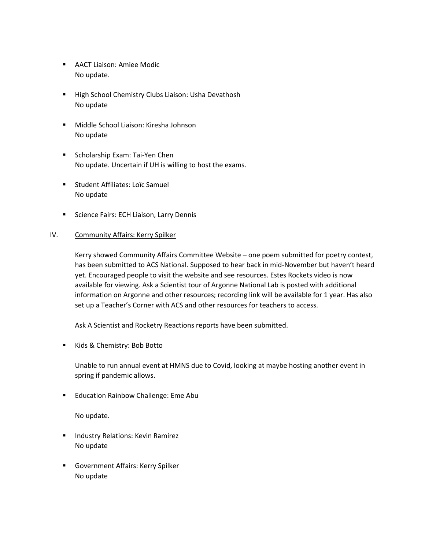- AACT Liaison: Amiee Modic No update.
- High School Chemistry Clubs Liaison: Usha Devathosh No update
- Middle School Liaison: Kiresha Johnson No update
- Scholarship Exam: Tai-Yen Chen No update. Uncertain if UH is willing to host the exams.
- Student Affiliates: Loïc Samuel No update
- Science Fairs: ECH Liaison, Larry Dennis

# IV. Community Affairs: Kerry Spilker

Kerry showed Community Affairs Committee Website – one poem submitted for poetry contest, has been submitted to ACS National. Supposed to hear back in mid-November but haven't heard yet. Encouraged people to visit the website and see resources. Estes Rockets video is now available for viewing. Ask a Scientist tour of Argonne National Lab is posted with additional information on Argonne and other resources; recording link will be available for 1 year. Has also set up a Teacher's Corner with ACS and other resources for teachers to access.

Ask A Scientist and Rocketry Reactions reports have been submitted.

■ Kids & Chemistry: Bob Botto

Unable to run annual event at HMNS due to Covid, looking at maybe hosting another event in spring if pandemic allows.

■ Education Rainbow Challenge: Eme Abu

No update.

- Industry Relations: Kevin Ramirez No update
- Government Affairs: Kerry Spilker No update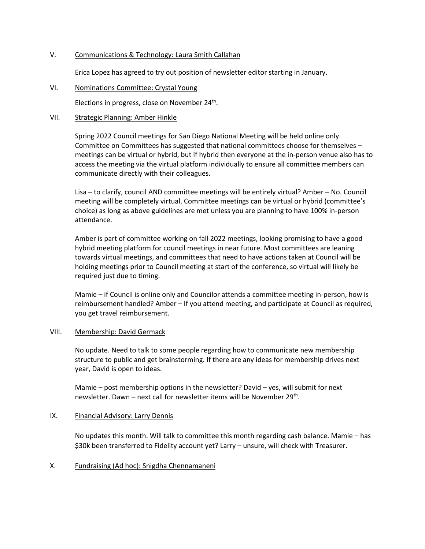## V. Communications & Technology: Laura Smith Callahan

Erica Lopez has agreed to try out position of newsletter editor starting in January.

VI. Nominations Committee: Crystal Young

Elections in progress, close on November 24<sup>th</sup>.

#### VII. Strategic Planning: Amber Hinkle

Spring 2022 Council meetings for San Diego National Meeting will be held online only. Committee on Committees has suggested that national committees choose for themselves – meetings can be virtual or hybrid, but if hybrid then everyone at the in-person venue also has to access the meeting via the virtual platform individually to ensure all committee members can communicate directly with their colleagues.

Lisa – to clarify, council AND committee meetings will be entirely virtual? Amber – No. Council meeting will be completely virtual. Committee meetings can be virtual or hybrid (committee's choice) as long as above guidelines are met unless you are planning to have 100% in-person attendance.

Amber is part of committee working on fall 2022 meetings, looking promising to have a good hybrid meeting platform for council meetings in near future. Most committees are leaning towards virtual meetings, and committees that need to have actions taken at Council will be holding meetings prior to Council meeting at start of the conference, so virtual will likely be required just due to timing.

Mamie – if Council is online only and Councilor attends a committee meeting in-person, how is reimbursement handled? Amber – If you attend meeting, and participate at Council as required, you get travel reimbursement.

### VIII. Membership: David Germack

No update. Need to talk to some people regarding how to communicate new membership structure to public and get brainstorming. If there are any ideas for membership drives next year, David is open to ideas.

Mamie – post membership options in the newsletter? David – yes, will submit for next newsletter. Dawn – next call for newsletter items will be November 29<sup>th</sup>.

#### IX. Financial Advisory: Larry Dennis

No updates this month. Will talk to committee this month regarding cash balance. Mamie – has \$30k been transferred to Fidelity account yet? Larry – unsure, will check with Treasurer.

X. Fundraising (Ad hoc): Snigdha Chennamaneni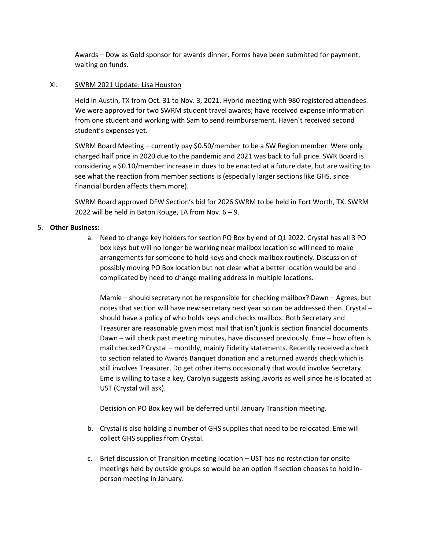Awards – Dow as Gold sponsor for awards dinner. Forms have been submitted for payment, waiting on funds.

# XI. SWRM 2021 Update: Lisa Houston

Held in Austin, TX from Oct. 31 to Nov. 3, 2021. Hybrid meeting with 980 registered attendees. We were approved for two SWRM student travel awards; have received expense information from one student and working with Sam to send reimbursement. Haven't received second student's expenses yet.

SWRM Board Meeting – currently pay \$0.50/member to be a SW Region member. Were only charged half price in 2020 due to the pandemic and 2021 was back to full price. SWR Board is considering a \$0.10/member increase in dues to be enacted at a future date, but are waiting to see what the reaction from member sections is (especially larger sections like GHS, since financial burden affects them more).

SWRM Board approved DFW Section's bid for 2026 SWRM to be held in Fort Worth, TX. SWRM 2022 will be held in Baton Rouge, LA from Nov.  $6 - 9$ .

# 5. **Other Business:**

a. Need to change key holders for section PO Box by end of Q1 2022. Crystal has all 3 PO box keys but will no longer be working near mailbox location so will need to make arrangements for someone to hold keys and check mailbox routinely. Discussion of possibly moving PO Box location but not clear what a better location would be and complicated by need to change mailing address in multiple locations.

Mamie – should secretary not be responsible for checking mailbox? Dawn – Agrees, but notes that section will have new secretary next year so can be addressed then. Crystal – should have a policy of who holds keys and checks mailbox. Both Secretary and Treasurer are reasonable given most mail that isn't junk is section financial documents. Dawn – will check past meeting minutes, have discussed previously. Eme – how often is mail checked? Crystal – monthly, mainly Fidelity statements. Recently received a check to section related to Awards Banquet donation and a returned awards check which is still involves Treasurer. Do get other items occasionally that would involve Secretary. Eme is willing to take a key, Carolyn suggests asking Javoris as well since he is located at UST (Crystal will ask).

Decision on PO Box key will be deferred until January Transition meeting.

- b. Crystal is also holding a number of GHS supplies that need to be relocated. Eme will collect GHS supplies from Crystal.
- c. Brief discussion of Transition meeting location UST has no restriction for onsite meetings held by outside groups so would be an option if section chooses to hold inperson meeting in January.